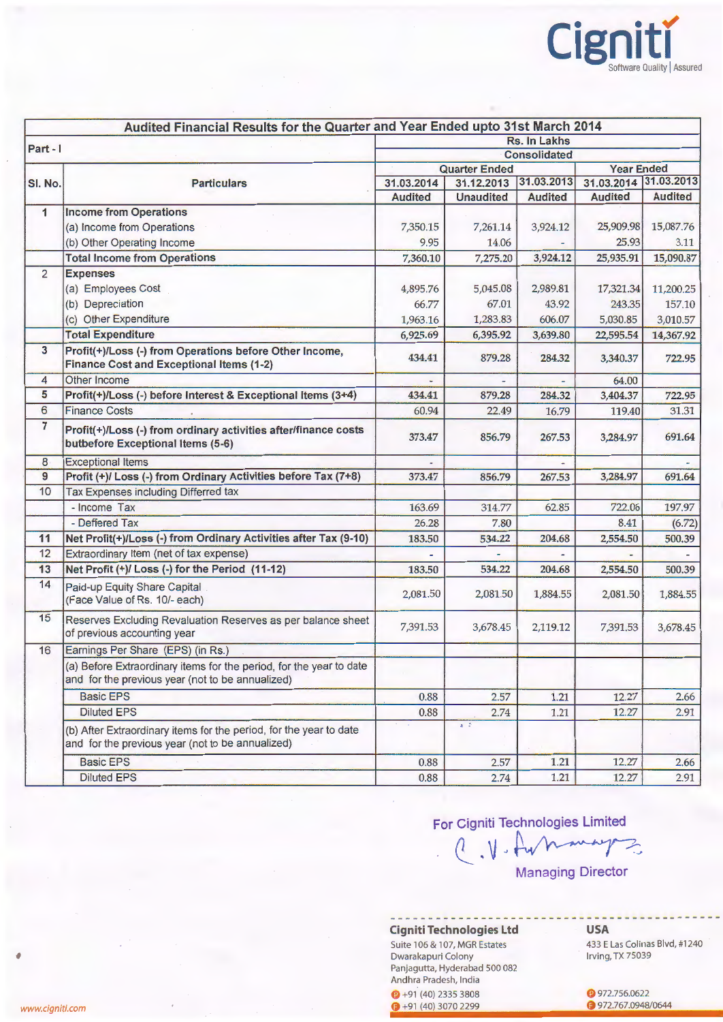

|                 | Audited Financial Results for the Quarter and Year Ended upto 31st March 2014                                           |                     |                      |                |                       |                |  |
|-----------------|-------------------------------------------------------------------------------------------------------------------------|---------------------|----------------------|----------------|-----------------------|----------------|--|
| Part - I        |                                                                                                                         | Rs. In Lakhs        |                      |                |                       |                |  |
|                 |                                                                                                                         | <b>Consolidated</b> |                      |                |                       |                |  |
|                 |                                                                                                                         |                     | <b>Quarter Ended</b> |                | <b>Year Ended</b>     |                |  |
| SI. No.         | <b>Particulars</b>                                                                                                      | 31.03.2014          | 31.12.2013           | 31.03.2013     | 31.03.2014 31.03.2013 |                |  |
|                 |                                                                                                                         | <b>Audited</b>      | <b>Unaudited</b>     | <b>Audited</b> | <b>Audited</b>        | <b>Audited</b> |  |
| $\mathbf{1}$    | <b>Income from Operations</b>                                                                                           |                     |                      |                |                       |                |  |
|                 | (a) Income from Operations                                                                                              | 7,350.15            | 7,261.14             | 3,924.12       | 25,909.98             | 15,087.76      |  |
|                 | (b) Other Operating Income                                                                                              | 9.95                | 14.06                |                | 25.93                 | 3.11           |  |
|                 | <b>Total Income from Operations</b>                                                                                     | 7,360.10            | 7,275.20             | 3,924.12       | 25,935.91             | 15,090.87      |  |
| $\overline{2}$  | <b>Expenses</b>                                                                                                         |                     |                      |                |                       |                |  |
|                 | (a) Employees Cost                                                                                                      | 4,895.76            | 5,045.08             | 2,989.81       | 17,321.34             | 11,200.25      |  |
|                 | (b) Depreciation                                                                                                        | 66.77               | 67.01                | 43.92          | 243.35                | 157.10         |  |
|                 | (c) Other Expenditure                                                                                                   | 1,963.16            | 1,283.83             | 606.07         | 5,030.85              | 3,010.57       |  |
|                 | <b>Total Expenditure</b>                                                                                                | 6,925.69            | 6,395.92             | 3,639.80       | 22,595.54             | 14,367.92      |  |
| $\mathbf{3}$    | Profit(+)/Loss (-) from Operations before Other Income,<br>Finance Cost and Exceptional Items (1-2)                     | 434.41              | 879.28               | 284.32         | 3,340.37              | 722.95         |  |
| $\overline{4}$  | Other Income                                                                                                            |                     |                      |                | 64.00                 |                |  |
| 5               | Profit(+)/Loss (-) before Interest & Exceptional Items (3+4)                                                            | 434.41              | 879.28               | 284.32         | 3,404.37              | 722.95         |  |
| $6\overline{6}$ | <b>Finance Costs</b>                                                                                                    | 60.94               | 22.49                | 16.79          | 119.40                | 31.31          |  |
| $\overline{7}$  | Profit(+)/Loss (-) from ordinary activities after/finance costs<br>butbefore Exceptional Items (5-6)                    | 373.47              | 856.79               | 267.53         | 3,284.97              | 691.64         |  |
| 8               | <b>Exceptional Items</b>                                                                                                |                     |                      |                |                       |                |  |
| $\overline{9}$  | Profit (+)/ Loss (-) from Ordinary Activities before Tax (7+8)                                                          | 373.47              | 856.79               | 267.53         | 3,284.97              | 691.64         |  |
| 10              | Tax Expenses including Differred tax                                                                                    |                     |                      |                |                       |                |  |
|                 | - Income Tax                                                                                                            | 163.69              | 314.77               | 62.85          | 722.06                | 197.97         |  |
|                 | - Deffered Tax                                                                                                          | 26.28               | 7.80                 |                | 8.41                  | (6.72)         |  |
| 11              | Net Profit(+)/Loss (-) from Ordinary Activities after Tax (9-10)                                                        | 183.50              | 534.22               | 204.68         | 2,554.50              | 500.39         |  |
| 12              | Extraordinary Item (net of tax expense)                                                                                 |                     |                      |                |                       |                |  |
| 13              | Net Profit (+)/ Loss (-) for the Period (11-12)                                                                         | 183.50              | 534.22               | 204.68         | 2,554.50              | 500.39         |  |
| 14              | Paid-up Equity Share Capital<br>(Face Value of Rs. 10/- each)                                                           | 2,081.50            | 2,081.50             | 1,884.55       | 2,081.50              | 1,884.55       |  |
| 15              | Reserves Excluding Revaluation Reserves as per balance sheet<br>of previous accounting year                             | 7,391.53            | 3,678.45             | 2,119.12       | 7,391.53              | 3,678.45       |  |
| 16              | Earnings Per Share (EPS) (in Rs.)                                                                                       |                     |                      |                |                       |                |  |
|                 | (a) Before Extraordinary items for the period, for the year to date<br>and for the previous year (not to be annualized) |                     |                      |                |                       |                |  |
|                 | <b>Basic EPS</b>                                                                                                        | 0.88                | 2.57                 | 1.21           | 12.27                 | 2.66           |  |
|                 | <b>Diluted EPS</b>                                                                                                      | 0.88                | 2.74                 | 1.21           | 12.27                 | 2.91           |  |
|                 | (b) After Extraordinary items for the period, for the year to date<br>and for the previous year (not to be annualized)  |                     | $4 - 2$              |                |                       |                |  |
|                 | <b>Basic EPS</b>                                                                                                        | 0.88                | 2.57                 | 1.21           | 12.27                 | 2.66           |  |
|                 | <b>Diluted EPS</b>                                                                                                      | 0.88                | 2.74                 | 1.21           | 12.27                 | 2.91           |  |

For Cigniti Technologies Limited<br>
. ( . ) . Au many Managing Director

# Cigniti Technologies Ltd

Suite 106 & 107, MGR Estates Dwarakapuri Colony Panjagutta, Hyderabad 500 082 Andhra Pradesh, India

 $\bigodot +91(40)$  2335 3808  $+91 (40) 3070 2299$ 

USA

433 E Las Colinas Blvd, #1240 Irving, TX 75039

**P** 972.756.0622 **• 972.767.0948/0644** 

'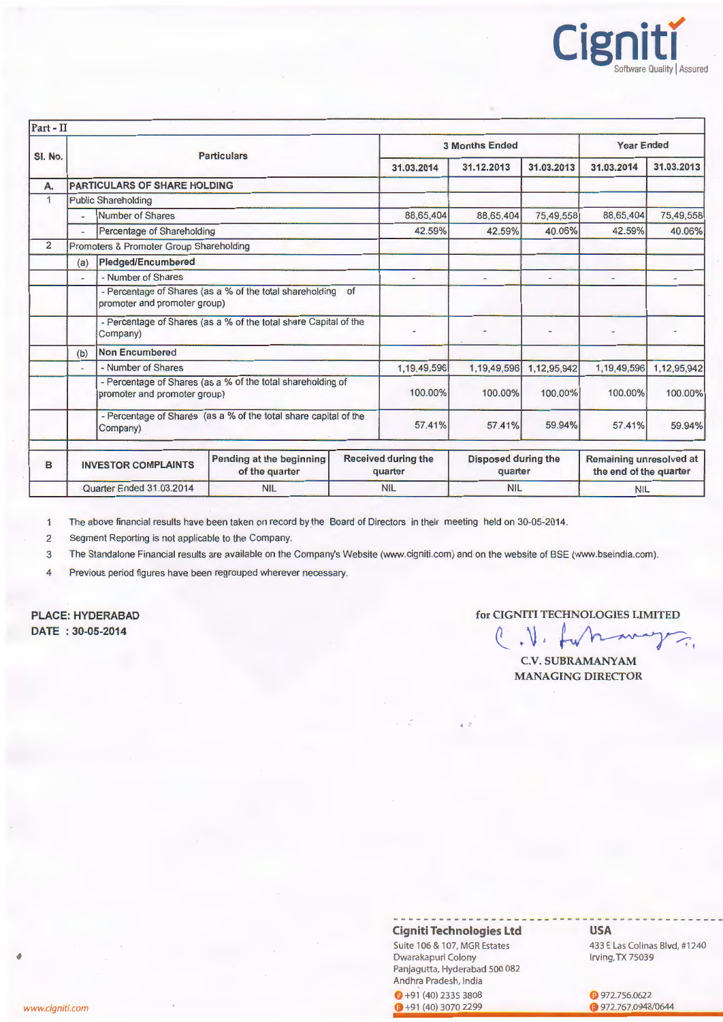

| Part - II      |                          |                                         |                                                                  |                       |                                                                                |                          |                          |                                                   |             |
|----------------|--------------------------|-----------------------------------------|------------------------------------------------------------------|-----------------------|--------------------------------------------------------------------------------|--------------------------|--------------------------|---------------------------------------------------|-------------|
| SI. No.        |                          | <b>Particulars</b>                      |                                                                  | <b>3 Months Ended</b> |                                                                                |                          | <b>Year Ended</b>        |                                                   |             |
|                |                          |                                         |                                                                  |                       | 31.03.2014                                                                     | 31.12.2013               | 31.03.2013               | 31.03.2014                                        | 31.03.2013  |
| А.             |                          | <b>PARTICULARS OF SHARE HOLDING</b>     |                                                                  |                       |                                                                                |                          |                          |                                                   |             |
| 1              |                          | <b>Public Shareholding</b>              |                                                                  |                       |                                                                                |                          |                          |                                                   |             |
|                | $\sim$                   | Number of Shares                        |                                                                  |                       | 88,65,404                                                                      | 88,65,404                | 75,49,558                | 88,65,404                                         | 75,49,558   |
|                | $\overline{\phantom{a}}$ | Percentage of Shareholding              |                                                                  |                       | 42.59%                                                                         | 42.59%                   | 40.06%                   | 42.59%                                            | 40.06%      |
| $\overline{2}$ |                          | Promoters & Promoter Group Shareholding |                                                                  |                       |                                                                                |                          |                          |                                                   |             |
|                | (a)                      | Pledged/Encumbered                      |                                                                  |                       |                                                                                |                          |                          |                                                   |             |
|                | $\overline{\phantom{a}}$ | - Number of Shares                      |                                                                  |                       |                                                                                | $\overline{\phantom{a}}$ | $\overline{\phantom{a}}$ | ۰                                                 |             |
|                |                          | promoter and promoter group)            | - Percentage of Shares (as a % of the total shareholding of      |                       |                                                                                |                          |                          |                                                   |             |
|                |                          | Company)                                | - Percentage of Shares (as a % of the total share Capital of the |                       |                                                                                |                          |                          | ۰                                                 |             |
|                | (b)                      | Non Encumbered                          |                                                                  |                       |                                                                                |                          |                          |                                                   |             |
|                | $\blacksquare$           | - Number of Shares                      |                                                                  |                       | 1,19,49,596                                                                    | 1,19,49,596              | 1,12,95,942              | 1,19,49,596                                       | 1,12,95,942 |
|                |                          | promoter and promoter group)            | - Percentage of Shares (as a % of the total shareholding of      |                       | 100.00%                                                                        | 100.00%                  | 100.00%                  | 100.00%                                           | 100.00%     |
|                |                          | Company)                                | - Percentage of Shares (as a % of the total share capital of the |                       | 57.41%                                                                         | 57.41%                   | 59.94%                   | 57.41%                                            | 59.94%      |
| B              |                          | <b>INVESTOR COMPLAINTS</b>              | Pending at the beginning<br>of the quarter                       |                       | <b>Received during the</b><br><b>Disposed during the</b><br>quarter<br>quarter |                          |                          | Remaining unresolved at<br>the end of the quarter |             |
|                | Quarter Ended 31.03.2014 |                                         | <b>NIL</b>                                                       | <b>NIL</b>            |                                                                                | <b>NIL</b>               |                          | <b>NIL</b>                                        |             |

The above financial results have been taken on record by the Board of Directors in their meeting held on 30-05-2014.  $\mathbf{1}$ 

2 Segment Reporting is not applicable to the Company.

3 The Standalone Financial results are available on the Company's Website (www.cigniti.com) and on the website of BSE (www.bseindia.com).

4 Previous period figures have been regrouped wherever necessary.

PLACE: HYDERABAD DATE : 30-05-2014

### for CIGNITI TECHNOLOGIES LIMITED

HINOLOGIES LIMITED  $\mathcal{N}$ .

C.V. SUBRAMANY MANAGING DIRECTOR

 $\sim$ 

## Cigniti Technologies Ltd

 $\mathbf{A} \equiv \mathbf{0}$ 

Suite 106 & 107, MGR Estates Dwarakapuri Colony Panjagutta, Hyderabad 500 082 Andhra Pradesh, India

 $\bigodot +91(40)$  2335 3808  $+91(40)30702299$ 

#### USA

433 E Las Colinas Blvd, #1240 Irving, TX 75039

**C** 972.756.0622 **972.767.0948/0644**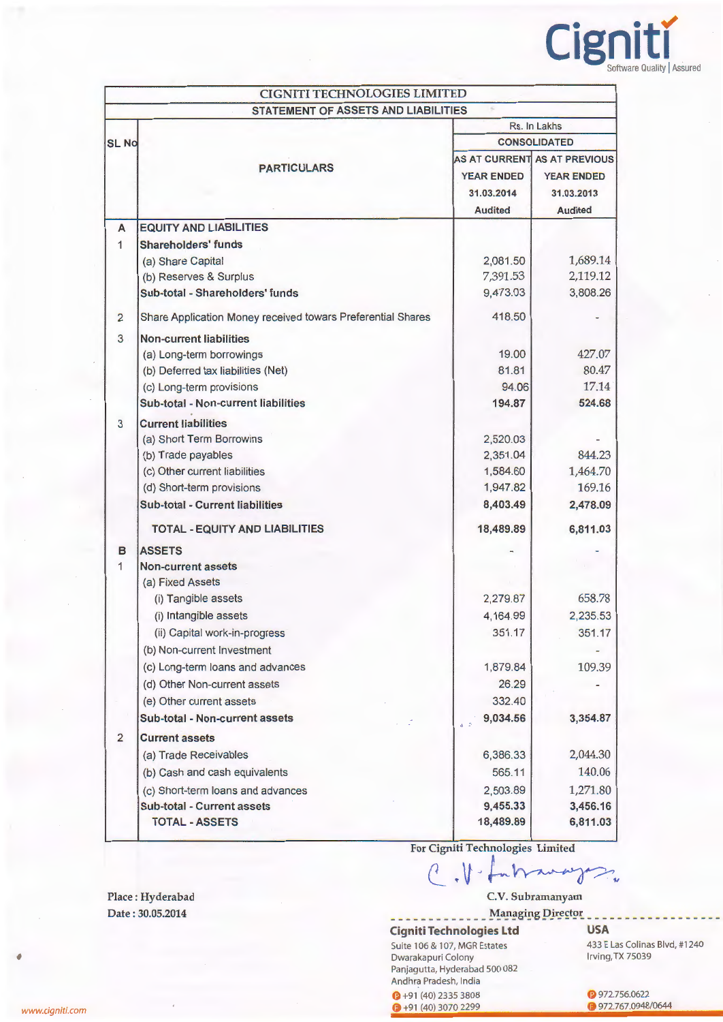

|                | <b>CIGNITI TECHNOLOGIES LIMITED</b>                         |                              |                   |  |  |  |
|----------------|-------------------------------------------------------------|------------------------------|-------------------|--|--|--|
|                | <b>STATEMENT OF ASSETS AND LIABILITIES</b>                  |                              |                   |  |  |  |
|                |                                                             |                              | Rs. In Lakhs      |  |  |  |
| <b>SL No</b>   |                                                             | <b>CONSOLIDATED</b>          |                   |  |  |  |
|                | <b>PARTICULARS</b>                                          | AS AT CURRENT AS AT PREVIOUS |                   |  |  |  |
|                |                                                             | <b>YEAR ENDED</b>            | <b>YEAR ENDED</b> |  |  |  |
|                |                                                             | 31.03.2014                   | 31.03.2013        |  |  |  |
|                |                                                             | <b>Audited</b>               | <b>Audited</b>    |  |  |  |
| A              | <b>EQUITY AND LIABILITIES</b>                               |                              |                   |  |  |  |
| $\mathbf{1}$   | <b>Shareholders' funds</b>                                  |                              |                   |  |  |  |
|                | (a) Share Capital                                           | 2,081.50                     | 1,689.14          |  |  |  |
|                | (b) Reserves & Surplus                                      | 7,391.53                     | 2,119.12          |  |  |  |
|                | Sub-total - Shareholders' funds                             | 9,473.03                     | 3,808.26          |  |  |  |
| $\overline{2}$ | Share Application Money received towars Preferential Shares | 418.50                       |                   |  |  |  |
| $\overline{3}$ | <b>Non-current liabilities</b>                              |                              |                   |  |  |  |
|                | (a) Long-term borrowings                                    | 19.00                        | 427.07            |  |  |  |
|                | (b) Deferred tax liabilities (Net)                          | 81.81                        | 80.47             |  |  |  |
|                | (c) Long-term provisions                                    | 94.06                        | 17.14             |  |  |  |
|                | Sub-total - Non-current liabilities                         | 194.87                       | 524.68            |  |  |  |
| 3              | <b>Current liabilities</b>                                  |                              |                   |  |  |  |
|                | (a) Short Term Borrowins                                    | 2,520.03                     |                   |  |  |  |
|                | (b) Trade payables                                          | 2,351.04                     | 844.23            |  |  |  |
|                | (c) Other current liabilities                               | 1,584.60                     | 1,464.70          |  |  |  |
|                | (d) Short-term provisions                                   | 1,947.82                     | 169.16            |  |  |  |
|                | <b>Sub-total - Current liabilities</b>                      | 8,403.49                     | 2,478.09          |  |  |  |
|                | <b>TOTAL - EQUITY AND LIABILITIES</b>                       | 18,489.89                    | 6,811.03          |  |  |  |
| в              | <b>ASSETS</b>                                               |                              |                   |  |  |  |
| $\mathbf{1}$   | <b>Non-current assets</b>                                   |                              |                   |  |  |  |
|                | (a) Fixed Assets                                            |                              |                   |  |  |  |
|                | (i) Tangible assets                                         | 2,279.87                     | 658.78            |  |  |  |
|                | (i) Intangible assets                                       | 4,164.99                     | 2,235.53          |  |  |  |
|                | (ii) Capital work-in-progress                               | 351.17                       | 351.17            |  |  |  |
|                | (b) Non-current Investment                                  |                              |                   |  |  |  |
|                | (c) Long-term loans and advances                            | 1,879.84                     | 109.39            |  |  |  |
|                | (d) Other Non-current assets                                | 26.29                        |                   |  |  |  |
|                | (e) Other current assets                                    | 332.40                       |                   |  |  |  |
|                | Sub-total - Non-current assets                              | 9,034.56<br>$\mathbf{a}$ = 2 | 3,354.87          |  |  |  |
| $\overline{2}$ | <b>Current assets</b>                                       |                              |                   |  |  |  |
|                | (a) Trade Receivables                                       | 6,386.33                     | 2,044.30          |  |  |  |
|                | (b) Cash and cash equivalents                               | 565.11                       | 140.06            |  |  |  |
|                | (c) Short-term loans and advances                           | 2,503.89                     | 1,271.80          |  |  |  |
|                | <b>Sub-total - Current assets</b>                           | 9,455.33                     | 3,456.16          |  |  |  |
|                | <b>TOTAL - ASSETS</b>                                       | 18,489.89                    | 6,811.03          |  |  |  |
|                |                                                             |                              |                   |  |  |  |

For Cigniti Technologies Limited

Colombian .

C.V. Subramanyam \_ Managing Director

Cigniti Technologies Ltd USA

Suite 106 & 107, MGR Estates Dwarakapuri Colony Panjagutta, Hyderabad 500 082 Andhra Pradesh, India

 $\bigcirc$  +91 (40) 2335 3808  $+91 (40) 3070 2299$ 

433 E Las Colinas Blvd, #1240 Irving, TX 75039

**P** 972.756.0622 C 972.767.0948/0644

Place : Hyderabad Date : 30.05.2014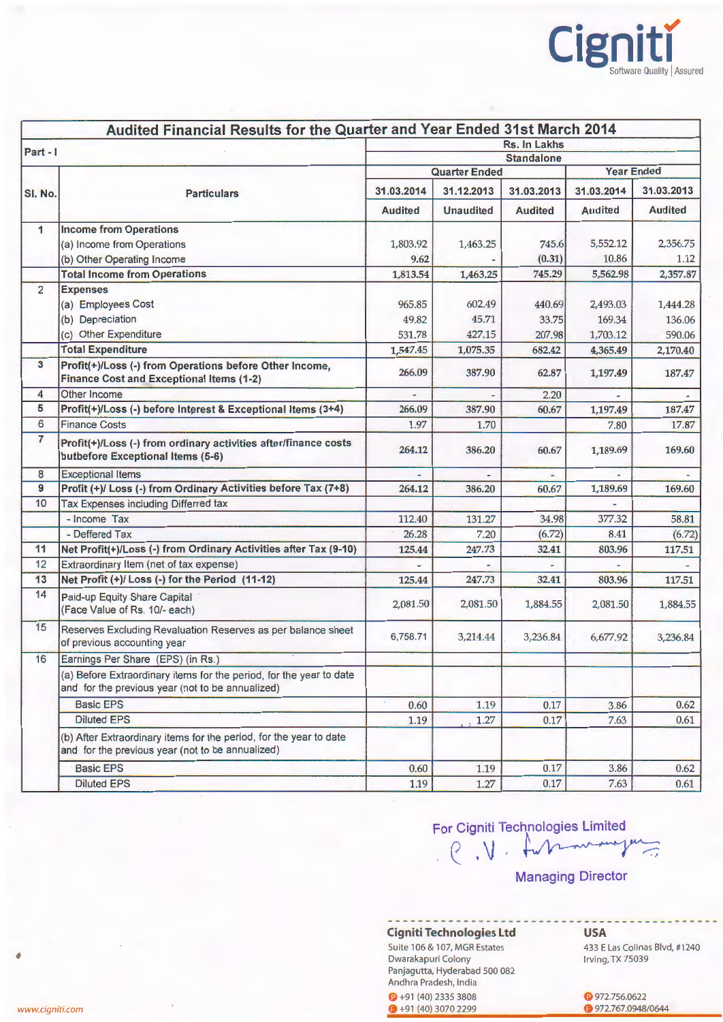

| Audited Financial Results for the Quarter and Year Ended 31st March 2014 |                                                                                                                         |                                        |                      |                          |                |                |  |
|--------------------------------------------------------------------------|-------------------------------------------------------------------------------------------------------------------------|----------------------------------------|----------------------|--------------------------|----------------|----------------|--|
| Part-1                                                                   |                                                                                                                         |                                        |                      | Rs. In Lakhs             |                |                |  |
|                                                                          |                                                                                                                         | <b>Standalone</b><br><b>Year Ended</b> |                      |                          |                |                |  |
|                                                                          |                                                                                                                         |                                        | <b>Quarter Ended</b> |                          |                |                |  |
| <b>SI. No.</b>                                                           | <b>Particulars</b>                                                                                                      | 31.03.2014                             | 31.12.2013           | 31.03.2013               | 31.03.2014     | 31.03.2013     |  |
|                                                                          |                                                                                                                         | <b>Audited</b>                         | <b>Unaudited</b>     | <b>Audited</b>           | <b>Audited</b> | <b>Audited</b> |  |
| $\mathbf{1}$                                                             | <b>Income from Operations</b>                                                                                           |                                        |                      |                          |                |                |  |
|                                                                          | (a) Income from Operations                                                                                              | 1,803.92                               | 1,463.25             | 745.6                    | 5,552.12       | 2,356.75       |  |
|                                                                          | (b) Other Operating Income                                                                                              | 9.62                                   |                      | (0.31)                   | 10.86          | 1.12           |  |
|                                                                          | <b>Total Income from Operations</b>                                                                                     | 1,813.54                               | 1,463.25             | 745.29                   | 5,562.98       | 2,357.87       |  |
| $\overline{2}$                                                           | <b>Expenses</b>                                                                                                         |                                        |                      |                          |                |                |  |
|                                                                          | (a) Employees Cost                                                                                                      | 965.85                                 | 602.49               | 440.69                   | 2,493.03       | 1,444.28       |  |
|                                                                          | (b) Depreciation                                                                                                        | 49.82                                  | 45.71                | 33.75                    | 169.34         | 136.06         |  |
|                                                                          | (c) Other Expenditure                                                                                                   | 531.78                                 | 427.15               | 207.98                   | 1,703.12       | 590.06         |  |
|                                                                          | <b>Total Expenditure</b>                                                                                                | 1,547.45                               | 1,075.35             | 682.42                   | 4,365.49       | 2,170.40       |  |
| 3                                                                        | Profit(+)/Loss (-) from Operations before Other Income,<br><b>Finance Cost and Exceptional Items (1-2)</b>              | 266.09                                 | 387.90               | 62.87                    | 1,197.49       | 187.47         |  |
| 4                                                                        | Other Income                                                                                                            |                                        |                      | 2.20                     |                |                |  |
| 5                                                                        | Profit(+)/Loss (-) before Interest & Exceptional Items (3+4)                                                            | 266.09                                 | 387.90               | 60.67                    | 1,197.49       | 187.47         |  |
| 6                                                                        | <b>Finance Costs</b>                                                                                                    | 1.97                                   | 1.70                 |                          | 7.80           | 17.87          |  |
| $\overline{7}$                                                           | Profit(+)/Loss (-) from ordinary activities after/finance costs<br>butbefore Exceptional Items (5-6)                    | 264.12                                 | 386.20               | 60.67                    | 1,189.69       | 169.60         |  |
| 8                                                                        | <b>Exceptional Items</b>                                                                                                |                                        |                      | $\overline{\phantom{a}}$ |                |                |  |
| 9                                                                        | Profit (+)/ Loss (-) from Ordinary Activities before Tax (7+8)                                                          | 264.12                                 | 386.20               | 60.67                    | 1,189.69       | 169.60         |  |
| 10                                                                       | Tax Expenses including Differred tax                                                                                    |                                        |                      |                          |                |                |  |
|                                                                          | - Income Tax                                                                                                            | 112.40                                 | 131.27               | 34.98                    | 377.32         | 58.81          |  |
|                                                                          | - Deffered Tax                                                                                                          | 26.28                                  | 7.20                 | (6.72)                   | 8.41           | (6.72)         |  |
| 11                                                                       | Net Profit(+)/Loss (-) from Ordinary Activities after Tax (9-10)                                                        | 125.44                                 | 247.73               | 32.41                    | 803.96         | 117.51         |  |
| 12                                                                       | Extraordinary Item (net of tax expense)                                                                                 |                                        |                      |                          |                |                |  |
| 13                                                                       | Net Profit (+)/ Loss (-) for the Period (11-12)                                                                         | 125.44                                 | 247.73               | 32.41                    | 803.96         | 117.51         |  |
| 14                                                                       | Paid-up Equity Share Capital<br>(Face Value of Rs. 10/- each)                                                           | 2,081.50                               | 2,081.50             | 1,884.55                 | 2,081.50       | 1,884.55       |  |
| 15                                                                       | Reserves Excluding Revaluation Reserves as per balance sheet<br>of previous accounting year                             | 6,758.71                               | 3,214.44             | 3,236.84                 | 6,677.92       | 3,236.84       |  |
| 16                                                                       | Earnings Per Share (EPS) (in Rs.)                                                                                       |                                        |                      |                          |                |                |  |
|                                                                          | (a) Before Extraordinary items for the period, for the year to date<br>and for the previous year (not to be annualized) |                                        |                      |                          |                |                |  |
|                                                                          | <b>Basic EPS</b>                                                                                                        | 0.60                                   | 1.19                 | 0.17                     | 3.86           | 0.62           |  |
|                                                                          | <b>Diluted EPS</b>                                                                                                      | 1.19                                   | 1.27                 | 0.17                     | 7.63           | 0.61           |  |
|                                                                          | (b) After Extraordinary items for the period, for the year to date<br>and for the previous year (not to be annualized)  |                                        |                      |                          |                |                |  |
|                                                                          | <b>Basic EPS</b>                                                                                                        | 0.60                                   | 1.19                 | 0.17                     | 3.86           | 0.62           |  |
|                                                                          | <b>Diluted EPS</b>                                                                                                      | 1.19                                   | 1.27                 | 0.17                     | 7.63           | 0.61           |  |

# For Cigniti Technologies Limited  $\ell$ ,  $\sqrt{\sqrt{2\pi}}$

Managing Director

**Cigniti Technologies Ltd** 

Suite 106 & 107, MGR Estates Dwarakapuri Colony Panjagutta, Hyderabad 500 082 Andhra Pradesh, India **C** +91 (40) 2335 3808  $+91(40)30702299$ 

**G** 972.756.0622

**USA** 

**972.767.0948/0644** 

Irving, TX 75039

433 E Las Colinas Blvd, #1240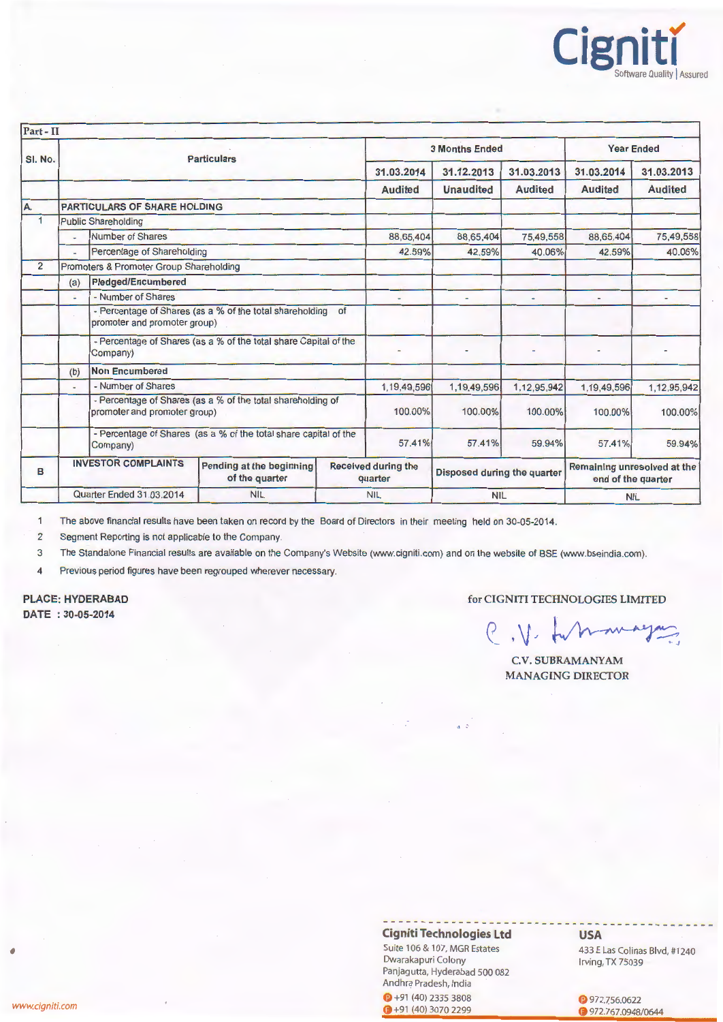

| Part - II            |                                                                                             |                                         |                                                                  |                                       |                             |                   |                |                                                   |                |
|----------------------|---------------------------------------------------------------------------------------------|-----------------------------------------|------------------------------------------------------------------|---------------------------------------|-----------------------------|-------------------|----------------|---------------------------------------------------|----------------|
| SI. No.              | <b>Particulars</b>                                                                          |                                         | <b>3 Months Ended</b>                                            |                                       |                             | <b>Year Ended</b> |                |                                                   |                |
|                      |                                                                                             |                                         |                                                                  |                                       | 31.03.2014                  | 31.12.2013        | 31.03.2013     | 31.03.2014                                        | 31.03.2013     |
|                      |                                                                                             |                                         |                                                                  |                                       | <b>Audited</b>              | <b>Unaudited</b>  | <b>Audited</b> | <b>Audited</b>                                    | <b>Audited</b> |
| A.                   |                                                                                             | <b>PARTICULARS OF SHARE HOLDING</b>     |                                                                  |                                       |                             |                   |                |                                                   |                |
| $\blacktriangleleft$ |                                                                                             | <b>Public Shareholding</b>              |                                                                  |                                       |                             |                   |                |                                                   |                |
|                      |                                                                                             | Number of Shares                        |                                                                  |                                       | 88,65,404                   | 88,65,404         | 75,49,558      | 88,65,404                                         | 75,49,558      |
|                      | u.                                                                                          | Percentage of Shareholding              |                                                                  |                                       | 42.59%                      | 42.59%            | 40.06%         | 42.59%                                            | 40.06%         |
| $\overline{2}$       |                                                                                             | Promoters & Promoter Group Shareholding |                                                                  |                                       |                             |                   |                |                                                   |                |
|                      | <b>Pledged/Encumbered</b><br>(a)                                                            |                                         |                                                                  |                                       |                             |                   |                |                                                   |                |
|                      | - Number of Shares<br>÷.                                                                    |                                         |                                                                  | ٠                                     |                             | $\blacksquare$    |                |                                                   |                |
|                      |                                                                                             | promoter and promoter group)            | - Percentage of Shares (as a % of the total shareholding         | of                                    |                             |                   |                |                                                   |                |
|                      | - Percentage of Shares (as a % of the total share Capital of the<br>Company)                |                                         |                                                                  |                                       |                             |                   |                |                                                   |                |
|                      | Non Encumbered<br>(b)                                                                       |                                         |                                                                  |                                       |                             |                   |                |                                                   |                |
|                      | $\overline{\phantom{a}}$                                                                    | - Number of Shares                      |                                                                  |                                       | 1,19,49,596                 | 1,19,49,596       | 1,12,95,942    | 1,19,49,596                                       | 1,12,95,942    |
|                      | - Percentage of Shares (as a % of the total shareholding of<br>promoter and promoter group) |                                         |                                                                  | 100.00%                               | 100.00%                     | 100.00%           | 100.00%        | 100.00%                                           |                |
|                      |                                                                                             | Company)                                | - Percentage of Shares (as a % of the total share capital of the |                                       | 57.41%                      | 57.41%            | 59.94%         | 57.41%                                            | 59.94%         |
| в                    | <b>INVESTOR COMPLAINTS</b><br>Pending at the beginning<br>of the quarter                    |                                         |                                                                  | <b>Received during the</b><br>quarter | Disposed during the quarter |                   |                | Remaining unresolved at the<br>end of the quarter |                |
|                      | <b>Quarter Ended 31.03.2014</b>                                                             |                                         | <b>NIL</b>                                                       |                                       | <b>NIL</b>                  | <b>NIL</b>        |                | <b>NIL</b>                                        |                |

1 The above financial results have been taken on record by the Board of Directors in their meeting held on 30-05-2014.

2 Segment Reporting is not applicable to the Company.

3 The Standalone Financial results are available on the Company's Website (www.cigniti.com) and on the website of BSE (www.bseindia.com).

4 Previous period figures have been regrouped wherever necessary.

PLACE: HYDERABAD DATE : 30-05-2014

for CIGNITI TECHNOLOGIES LIMITED

 $e, v \cdot w$  $\sum_{i=1}^n$ 

C.V. SUBRAMANYAM MANAGING DIRECTOR

Cigniti Technologies Ltd

 $q = 5$  .

Suite 106 & 107, MGR Estates Dwarakapuri Colony Panjagutta, Hyderabad 500 082 Andhra Pradesh, India  $\bigcirc$  +91 (40) 2335 3808 www.cigniti.com G +91 (40) 3070 2299

USA

433 E Las Colinas Blvd, #1240 Irving, TX 75039

 $972.756.0622$ G 972.767.0948/0644